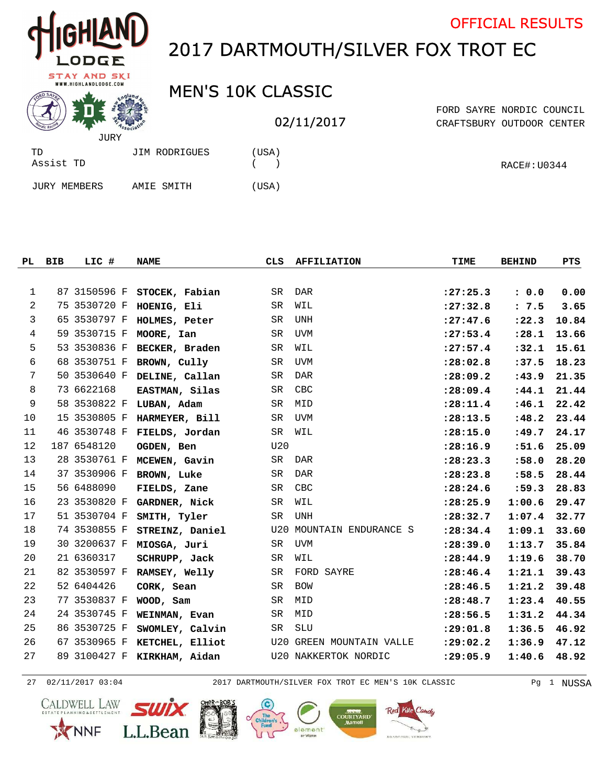| HIGHLAND |
|----------|
| LODGE    |

## 2017 DARTMOUTH/SILVER FOX TROT EC

## **STAY AND SKI**<br>WWW.HIGHLANDLODGE.COM

## MEN'S 10K CLASSIC

## 02/11/2017

CRAFTSBURY OUTDOOR CENTER FORD SAYRE NORDIC COUNCIL

OFFICIAL RESULTS

|                     | JURY          |      |
|---------------------|---------------|------|
| TD<br>Assist TD     | JIM RODRIGUES | USA) |
| <b>JURY MEMBERS</b> | AMIE SMITH    | USA) |

|              | PL BIB | LIC #        | <b>NAME</b>                 | CLS       | <b>AFFILIATION</b>       | TIME       | <b>BEHIND</b> | PTS   |
|--------------|--------|--------------|-----------------------------|-----------|--------------------------|------------|---------------|-------|
|              |        |              |                             |           |                          |            |               |       |
| $\mathbf{1}$ |        | 87 3150596 F | STOCEK, Fabian              | SR        | DAR                      | : 27: 25.3 | : 0.0         | 0.00  |
| 2            |        | 75 3530720 F | HOENIG, Eli                 | SR        | WIL                      | : 27:32.8  | : 7.5         | 3.65  |
| 3            |        | 65 3530797 F | HOLMES, Peter               | SR        | UNH                      | : 27: 47.6 | : 22.3        | 10.84 |
| 4            |        | 59 3530715 F | MOORE, Ian                  | <b>SR</b> | <b>UVM</b>               | : 27: 53.4 | : 28.1        | 13.66 |
| 5            |        | 53 3530836 F | BECKER, Braden              | SR        | WIL                      | : 27: 57.4 | : 32.1        | 15.61 |
| 6            |        | 68 3530751 F | BROWN, Cully                | SR        | UVM                      | : 28:02.8  | :37.5         | 18.23 |
| 7            |        | 50 3530640 F | DELINE, Callan              | SR        | <b>DAR</b>               | : 28:09.2  | :43.9         | 21.35 |
| 8            |        | 73 6622168   | EASTMAN, Silas              | SR        | CBC                      | : 28:09.4  | : 44.1        | 21.44 |
| 9            |        | 58 3530822 F | LUBAN, Adam                 | SR        | MID                      | : 28: 11.4 | :46.1         | 22.42 |
| 10           |        | 15 3530805 F | HARMEYER, Bill              | SR        | <b>UVM</b>               | : 28: 13.5 | : 48.2        | 23.44 |
| 11           |        | 46 3530748 F | FIELDS, Jordan              | <b>SR</b> | WIL                      | : 28:15.0  | :49.7         | 24.17 |
| 12           |        | 187 6548120  | OGDEN, Ben                  | U20       |                          | : 28:16.9  | : 51.6        | 25.09 |
| 13           |        | 28 3530761 F | MCEWEN, Gavin               | SR        | DAR                      | : 28: 23.3 | :58.0         | 28.20 |
| 14           |        | 37 3530906 F | BROWN, Luke                 | <b>SR</b> | <b>DAR</b>               | : 28: 23.8 | :58.5         | 28.44 |
| 15           |        | 56 6488090   | FIELDS, Zane                | SR        | CBC                      | : 28: 24.6 | :59.3         | 28.83 |
| 16           |        | 23 3530820 F | GARDNER, Nick               | SR        | WIL                      | : 28: 25.9 | 1:00.6        | 29.47 |
| 17           |        | 51 3530704 F | SMITH, Tyler                | <b>SR</b> | <b>UNH</b>               | : 28: 32.7 | 1:07.4        | 32.77 |
| 18           |        | 74 3530855 F | STREINZ, Daniel             |           | U20 MOUNTAIN ENDURANCE S | : 28: 34.4 | 1:09.1        | 33.60 |
| 19           |        | 30 3200637 F | MIOSGA, Juri                | SR        | UVM                      | : 28:39.0  | 1:13.7        | 35.84 |
| 20           |        | 21 6360317   | SCHRUPP, Jack               | <b>SR</b> | WIL                      | : 28: 44.9 | 1:19.6        | 38.70 |
| 21           |        | 82 3530597 F | RAMSEY, Welly               | <b>SR</b> | FORD SAYRE               | : 28: 46.4 | 1:21.1        | 39.43 |
| 22           |        | 52 6404426   | CORK, Sean                  | SR        | BOW                      | : 28: 46.5 | 1:21.2        | 39.48 |
| 23           |        | 77 3530837 F | WOOD, Sam                   | SR        | MID                      | : 28: 48.7 | 1:23.4        | 40.55 |
| 24           |        | 24 3530745 F | WEINMAN, Evan               | SR        | MID                      | : 28:56.5  | 1:31.2        | 44.34 |
| 25           |        | 86 3530725 F | SWOMLEY, Calvin             | SR        | <b>SLU</b>               | : 29:01.8  | 1:36.5        | 46.92 |
| 26           |        | 67 3530965 F | KETCHEL, Elliot             |           | U20 GREEN MOUNTAIN VALLE | : 29:02.2  | 1:36.9        | 47.12 |
| 27           |        |              | 89 3100427 F KIRKHAM, Aidan |           | U20 NAKKERTOK NORDIC     | : 29:05.9  | 1:40.6        | 48.92 |

02/11/2017 03:04 2017 DARTMOUTH/SILVER FOX TROT EC MEN'S 10K CLASSIC Pg 1 NUSSA









alement

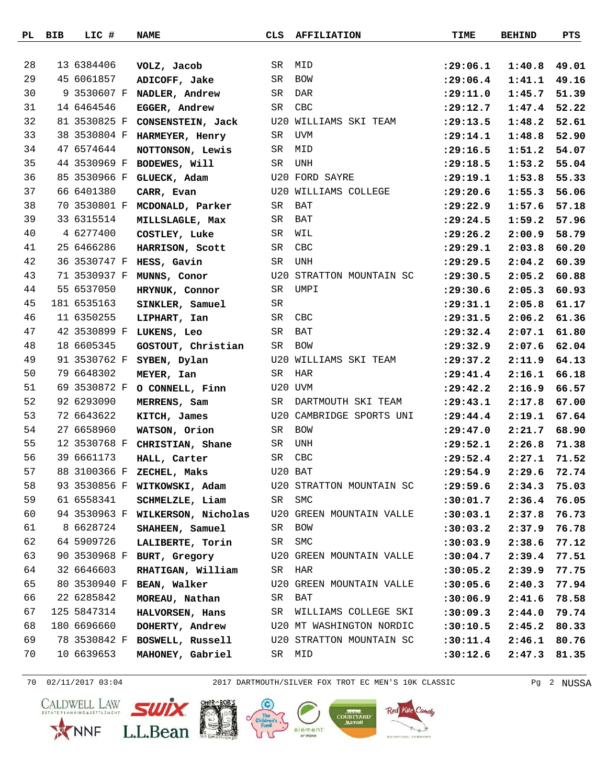| PL | BIB | LIC #        | <b>NAME</b>                                               | CLS | <b>AFFILIATION</b>                                  | TIME       | <b>BEHIND</b>  | PTS   |
|----|-----|--------------|-----------------------------------------------------------|-----|-----------------------------------------------------|------------|----------------|-------|
|    |     |              |                                                           |     |                                                     |            |                |       |
| 28 |     | 13 6384406   | VOLZ, Jacob                                               | SR  | MID                                                 | : 29:06.1  | 1:40.8         | 49.01 |
| 29 |     | 45 6061857   | ADICOFF, Jake                                             | SR  | BOW                                                 | : 29:06.4  | 1:41.1         | 49.16 |
| 30 |     |              | 9 3530607 F NADLER, Andrew                                | SR  | DAR                                                 | : 29:11.0  | 1:45.7         | 51.39 |
| 31 |     | 14 6464546   | EGGER, Andrew                                             | SR  | CBC                                                 | : 29: 12.7 | 1:47.4         | 52.22 |
| 32 |     | 81 3530825 F | CONSENSTEIN, Jack                                         |     | U20 WILLIAMS SKI TEAM                               | : 29:13.5  | 1:48.2         | 52.61 |
| 33 |     |              | 38 3530804 F HARMEYER, Henry                              | SR  | UVM                                                 | : 29:14.1  | 1:48.8         | 52.90 |
| 34 |     | 47 6574644   | NOTTONSON, Lewis                                          | SR  | MID                                                 | : 29:16.5  | 1:51.2         | 54.07 |
| 35 |     | 44 3530969 F | BODEWES, Will                                             | SR  | UNH                                                 | : 29:18.5  | 1:53.2         | 55.04 |
| 36 |     | 85 3530966 F | GLUECK, Adam                                              |     | U20 FORD SAYRE                                      | : 29:19.1  | 1:53.8         | 55.33 |
| 37 |     | 66 6401380   | CARR, Evan                                                |     | U20 WILLIAMS COLLEGE                                | : 29: 20.6 | 1:55.3         | 56.06 |
| 38 |     | 70 3530801 F | MCDONALD, Parker                                          | SR  | BAT                                                 | : 29: 22.9 | 1:57.6         | 57.18 |
| 39 |     | 33 6315514   | MILLSLAGLE, Max                                           | SR  | BAT                                                 | : 29: 24.5 | 1:59.2         | 57.96 |
| 40 |     | 4 6277400    | COSTLEY, Luke                                             | SR  | WIL                                                 | : 29:26.2  | 2:00.9         | 58.79 |
| 41 |     | 25 6466286   | HARRISON, Scott                                           | SR  | CBC                                                 | : 29: 29.1 | 2:03.8         | 60.20 |
| 42 |     | 36 3530747 F | HESS, Gavin                                               | SR  | UNH                                                 | : 29:29.5  | 2:04.2         | 60.39 |
| 43 |     | 71 3530937 F | MUNNS, Conor                                              |     | U20 STRATTON MOUNTAIN SC                            | : 29:30.5  | 2:05.2         | 60.88 |
| 44 |     | 55 6537050   | HRYNUK, Connor                                            | SR  | UMPI                                                | : 29:30.6  | 2:05.3         | 60.93 |
| 45 |     | 181 6535163  | SINKLER, Samuel                                           | SR  |                                                     | : 29: 31.1 | 2:05.8         | 61.17 |
| 46 |     | 11 6350255   | LIPHART, Ian                                              | SR  | CBC                                                 | : 29: 31.5 | 2:06.2         | 61.36 |
| 47 |     |              | 42 3530899 F LUKENS, Leo                                  | SR  | BAT                                                 | : 29:32.4  | 2:07.1         | 61.80 |
| 48 |     | 18 6605345   | GOSTOUT, Christian                                        | SR  | <b>BOW</b>                                          | :29:32.9   | 2:07.6         | 62.04 |
| 49 |     | 91 3530762 F | SYBEN, Dylan                                              |     | U20 WILLIAMS SKI TEAM                               | : 29:37.2  | 2:11.9         | 64.13 |
| 50 |     | 79 6648302   | MEYER, Ian                                                | SR  | HAR                                                 | : 29: 41.4 | 2:16.1         | 66.18 |
| 51 |     | 69 3530872 F | O CONNELL, Finn                                           |     | U20 UVM                                             | : 29: 42.2 | 2:16.9         | 66.57 |
| 52 |     | 92 6293090   | MERRENS, Sam                                              | SR  | DARTMOUTH SKI TEAM                                  | : 29: 43.1 | 2:17.8         | 67.00 |
| 53 |     | 72 6643622   | KITCH, James                                              |     | U20 CAMBRIDGE SPORTS UNI                            | : 29: 44.4 | 2:19.1         | 67.64 |
| 54 |     | 27 6658960   | WATSON, Orion                                             | SR  | BOW                                                 | : 29: 47.0 | 2:21.7         | 68.90 |
| 55 |     |              | 12 3530768 F CHRISTIAN, Shane                             | SR  | UNH                                                 | : 29:52.1  | 2:26.8         | 71.38 |
| 56 |     | 39 6661173   | HALL, Carter                                              | SR  | CBC                                                 | : 29:52.4  | 2:27.1         | 71.52 |
| 57 |     |              | 88 3100366 F ZECHEL, Maks                                 |     | U20 BAT                                             | : 29:54.9  | 2:29.6         | 72.74 |
| 58 |     |              | 93 3530856 F WITKOWSKI, Adam U20 STRATTON MOUNTAIN SC     |     |                                                     | :29:59.6   | 2:34.3         | 75.03 |
| 59 |     | 61 6558341   | SCHMELZLE, Liam SR SMC                                    |     |                                                     | :30:01.7   | 2:36.4         | 76.05 |
| 60 |     |              | 94 3530963 F WILKERSON, Nicholas U20 GREEN MOUNTAIN VALLE |     |                                                     | : 30: 03.1 | 2:37.8         | 76.73 |
| 61 |     | 8 6628724    | SHAHEEN, Samuel                                           |     | SR BOW                                              | :30:03.2   | 2:37.9         | 76.78 |
| 62 |     | 64 5909726   | LALIBERTE, Torin                                          |     | SR SMC                                              | :30:03.9   | 2:38.6         | 77.12 |
| 63 |     |              |                                                           |     | 90 3530968 F BURT, Gregory U20 GREEN MOUNTAIN VALLE | : 30:04.7  | 2:39.4 77.51   |       |
| 64 |     | 32 6646603   | RHATIGAN, William SR HAR                                  |     |                                                     | :30:05.2   | 2:39.9         | 77.75 |
| 65 |     |              | 80 3530940 F BEAN, Walker                                 |     | U20 GREEN MOUNTAIN VALLE                            | :30:05.6   | 2:40.3         | 77.94 |
| 66 |     | 22 6285842   | MOREAU, Nathan                                            |     | SR BAT                                              | :30:06.9   | $2:41.6$ 78.58 |       |
| 67 |     | 125 5847314  | HALVORSEN, Hans                                           |     | SR WILLIAMS COLLEGE SKI                             | :30:09.3   | 2:44.0         | 79.74 |
| 68 |     | 180 6696660  |                                                           |     | DOHERTY, Andrew U20 MT WASHINGTON NORDIC            | :30:10.5   | 2:45.2         | 80.33 |
| 69 |     |              | 78 3530842 F BOSWELL, Russell U20 STRATTON MOUNTAIN SC    |     |                                                     | : 30: 11.4 | 2:46.1 80.76   |       |
| 70 |     | 10 6639653   | MAHONEY, Gabriel                                          |     | SR MID                                              | :30:12.6   | 2:47.3         | 81.35 |

70 02/11/2017 03:04 2017 DARTMOUTH/SILVER FOX TROT EC MEN'S 10K CLASSIC Pg 2 NUSSA







element



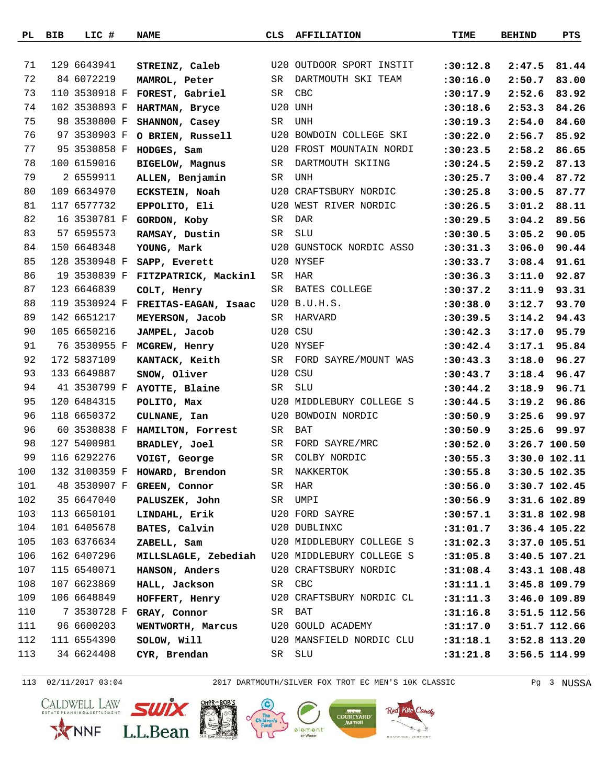| PL  | BIB | LIC #         | <b>NAME</b>                                   | CLS | <b>AFFILIATION</b>       | TIME                   | <b>BEHIND</b>   | PTS           |
|-----|-----|---------------|-----------------------------------------------|-----|--------------------------|------------------------|-----------------|---------------|
|     |     |               |                                               |     |                          |                        |                 |               |
| 71  |     | 129 6643941   | STREINZ, Caleb                                |     | U20 OUTDOOR SPORT INSTIT | :30:12.8               | 2:47.5          | 81.44         |
| 72  |     | 84 6072219    | MAMROL, Peter                                 | SR  | DARTMOUTH SKI TEAM       | :30:16.0               | 2:50.7          | 83.00         |
| 73  |     | 110 3530918 F | FOREST, Gabriel                               | SR  | CBC                      | :30:17.9               | 2:52.6          | 83.92         |
| 74  |     | 102 3530893 F | HARTMAN, Bryce                                |     | U20 UNH                  | :30:18.6               | 2:53.3          | 84.26         |
| 75  |     | 98 3530800 F  | SHANNON, Casey                                | SR  | UNH                      | :30:19.3               | 2:54.0          | 84.60         |
| 76  |     | 97 3530903 F  | O BRIEN, Russell                              |     | U20 BOWDOIN COLLEGE SKI  | :30:22.0               | 2:56.7          | 85.92         |
| 77  |     | 95 3530858 F  | HODGES, Sam                                   |     | U20 FROST MOUNTAIN NORDI | :30:23.5               | 2:58.2          | 86.65         |
| 78  |     | 100 6159016   | <b>BIGELOW, Magnus</b>                        | SR  | DARTMOUTH SKIING         | :30:24.5               | 2:59.2          | 87.13         |
| 79  |     | 2 6559911     | ALLEN, Benjamin                               | SR  | UNH                      | :30:25.7               | 3:00.4          | 87.72         |
| 80  |     | 109 6634970   | ECKSTEIN, Noah                                |     | U20 CRAFTSBURY NORDIC    | :30:25.8               | 3:00.5          | 87.77         |
| 81  |     | 117 6577732   | EPPOLITO, Eli                                 |     | U20 WEST RIVER NORDIC    | :30:26.5               | 3:01.2          | 88.11         |
| 82  |     | 16 3530781 F  | GORDON, Koby                                  | SR  | DAR                      | :30:29.5               | 3:04.2          | 89.56         |
| 83  |     | 57 6595573    | RAMSAY, Dustin                                | SR  | SLU                      | :30:30.5               | 3:05.2          | 90.05         |
| 84  |     | 150 6648348   | YOUNG, Mark                                   |     | U20 GUNSTOCK NORDIC ASSO | :30:31.3               | 3:06.0          | 90.44         |
| 85  |     | 128 3530948 F | SAPP, Everett                                 |     | U20 NYSEF                | :30:33.7               | $3:08.4$ 91.61  |               |
| 86  |     | 19 3530839 F  | FITZPATRICK, Mackinl                          | SR  | HAR                      | :30:36.3               | 3:11.0          | 92.87         |
| 87  |     | 123 6646839   | COLT, Henry                                   | SR  | BATES COLLEGE            | :30:37.2               | 3:11.9          | 93.31         |
| 88  |     | 119 3530924 F | FREITAS-EAGAN, Isaac                          |     | U20 B.U.H.S.             | :30:38.0               | 3:12.7          | 93.70         |
| 89  |     | 142 6651217   | MEYERSON, Jacob                               | SR  | HARVARD                  | :30:39.5               | $3:14.2$ 94.43  |               |
| 90  |     | 105 6650216   | JAMPEL, Jacob                                 |     | U20 CSU                  | :30:42.3               | 3:17.0          | 95.79         |
| 91  |     |               | 76 3530955 F MCGREW, Henry                    |     | U20 NYSEF                | :30:42.4               | 3:17.1          | 95.84         |
| 92  |     | 172 5837109   | KANTACK, Keith                                | SR  | FORD SAYRE/MOUNT WAS     | :30:43.3               | 3:18.0          | 96.27         |
| 93  |     | 133 6649887   | SNOW, Oliver                                  |     | U20 CSU                  | :30:43.7               | 3:18.4          | 96.47         |
| 94  |     | 41 3530799 F  | AYOTTE, Blaine                                | SR  | SLU                      | : 30: 44.2             | 3:18.9          | 96.71         |
| 95  |     | 120 6484315   | POLITO, Max                                   |     | U20 MIDDLEBURY COLLEGE S | :30:44.5               | 3:19.2          | 96.86         |
| 96  |     | 118 6650372   | CULNANE, Ian                                  |     | U20 BOWDOIN NORDIC       | :30:50.9               | 3:25.6          | 99.97         |
| 96  |     |               | 60 3530838 F HAMILTON, Forrest                | SR  | BAT                      | :30:50.9               | 3:25.6          | 99.97         |
| 98  |     | 127 5400981   | BRADLEY, Joel                                 | SR  | FORD SAYRE/MRC           | :30:52.0               | 3:26.7 100.50   |               |
| 99  |     | 116 6292276   | VOIGT, George                                 | SR  | COLBY NORDIC             | :30:55.3               | 3:30.0 102.11   |               |
| 100 |     |               | 132 3100359 F HOWARD, Brendon                 |     | SR NAKKERTOK             | :30:55.8 3:30.5 102.35 |                 |               |
| 101 |     | 48 3530907 F  | GREEN, Connor                                 |     | SR HAR                   | :30:56.0               | $3:30.7$ 102.45 |               |
| 102 |     | 35 6647040    | PALUSZEK, John                                |     | SR UMPI                  | :30:56.9               | 3:31.6 102.89   |               |
| 103 |     | 113 6650101   | LINDAHL, Erik                                 |     | U20 FORD SAYRE           | :30:57.1               | 3:31.8 102.98   |               |
| 104 |     | 101 6405678   | BATES, Calvin                                 |     | U20 DUBLINXC             | : 31: 01.7             | 3:36.4 105.22   |               |
| 105 |     | 103 6376634   | ZABELL, Sam                                   |     | U20 MIDDLEBURY COLLEGE S | : 31:02.3              | 3:37.0 105.51   |               |
| 106 |     | 162 6407296   | MILLSLAGLE, Zebediah U20 MIDDLEBURY COLLEGE S |     |                          | :31:05.8               | 3:40.5 107.21   |               |
| 107 |     | 115 6540071   | HANSON, Anders                                |     | U20 CRAFTSBURY NORDIC    | :31:08.4               |                 | 3:43.1 108.48 |
| 108 |     | 107 6623869   | HALL, Jackson                                 |     | SR CBC                   | : 31: 11.1             | 3:45.8 109.79   |               |
| 109 |     | 106 6648849   | HOFFERT, Henry                                |     | U20 CRAFTSBURY NORDIC CL | : 31: 11.3             | 3:46.0 109.89   |               |
| 110 |     | 7 3530728 F   | GRAY, Connor                                  |     | SR BAT                   | : 31:16.8              | 3:51.5 112.56   |               |
| 111 |     | 96 6600203    | WENTWORTH, Marcus U20 GOULD ACADEMY           |     |                          | :31:17.0               | 3:51.7 112.66   |               |
| 112 |     | 111 6554390   | SOLOW, Will                                   |     | U20 MANSFIELD NORDIC CLU | : 31: 18.1             | $3:52.8$ 113.20 |               |
| 113 |     | 34 6624408    | CYR, Brendan                                  |     | SR SLU                   | : 31: 21.8             |                 | 3:56.5 114.99 |
|     |     |               |                                               |     |                          |                        |                 |               |

113 02/11/2017 03:04 2017 DARTMOUTH/SILVER FOX TROT EC MEN'S 10K CLASSIC Pg 3 NUSSA









element

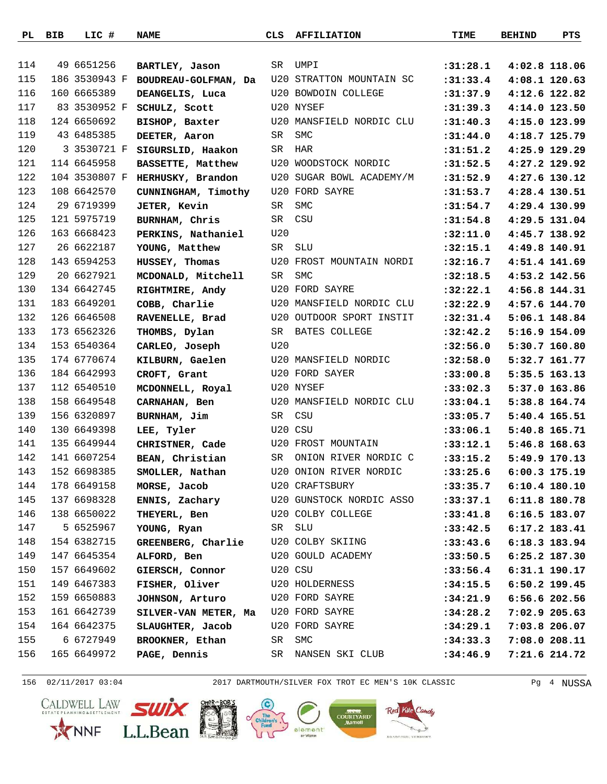|     | PL BIB | LIC #         | <b>NAME</b>                         | CLS     | <b>AFFILIATION</b>        | TIME                   | <b>BEHIND</b> | PTS           |
|-----|--------|---------------|-------------------------------------|---------|---------------------------|------------------------|---------------|---------------|
|     |        |               |                                     |         |                           |                        |               |               |
| 114 |        | 49 6651256    | BARTLEY, Jason                      | SR      | UMPI                      | :31:28.1               | 4:02.8 118.06 |               |
| 115 |        | 186 3530943 F | BOUDREAU-GOLFMAN, Da                |         | U20 STRATTON MOUNTAIN SC  | : 31: 33.4             | 4:08.1 120.63 |               |
| 116 |        | 160 6665389   | DEANGELIS, Luca                     |         | U20 BOWDOIN COLLEGE       | :31:37.9               | 4:12.6 122.82 |               |
| 117 |        | 83 3530952 F  | SCHULZ, Scott                       |         | U20 NYSEF                 | :31:39.3               | 4:14.0 123.50 |               |
| 118 |        | 124 6650692   | BISHOP, Baxter                      |         | U20 MANSFIELD NORDIC CLU  | :31:40.3               | 4:15.0 123.99 |               |
| 119 |        | 43 6485385    | DEETER, Aaron                       | SR      | SMC                       | :31:44.0               | 4:18.7 125.79 |               |
| 120 |        | 3 3530721 F   | SIGURSLID, Haakon                   | SR      | HAR                       | :31:51.2               | 4:25.9 129.29 |               |
| 121 |        | 114 6645958   | BASSETTE, Matthew                   |         | U20 WOODSTOCK NORDIC      | :31:52.5               | 4:27.2 129.92 |               |
| 122 |        | 104 3530807 F | HERHUSKY, Brandon                   |         | U20 SUGAR BOWL ACADEMY/M  | : 31:52.9              | 4:27.6 130.12 |               |
| 123 |        | 108 6642570   | CUNNINGHAM, Timothy                 |         | U20 FORD SAYRE            | : 31: 53.7             | 4:28.4 130.51 |               |
| 124 |        | 29 6719399    | <b>JETER, Kevin</b>                 | SR      | <b>SMC</b>                | : 31: 54.7             | 4:29.4 130.99 |               |
| 125 |        | 121 5975719   | BURNHAM, Chris                      | SR      | CSU                       | :31:54.8               | 4:29.5 131.04 |               |
| 126 |        | 163 6668423   | PERKINS, Nathaniel                  | U20     |                           | :32:11.0               | 4:45.7 138.92 |               |
| 127 |        | 26 6622187    | YOUNG, Matthew                      | SR      | SLU                       | :32:15.1               | 4:49.8 140.91 |               |
| 128 |        | 143 6594253   | HUSSEY, Thomas                      |         | U20 FROST MOUNTAIN NORDI  | :32:16.7               | 4:51.4 141.69 |               |
| 129 |        | 20 6627921    | MCDONALD, Mitchell                  | SR      | <b>SMC</b>                | :32:18.5               | 4:53.2 142.56 |               |
| 130 |        | 134 6642745   | RIGHTMIRE, Andy                     |         | U20 FORD SAYRE            | :32:22.1               | 4:56.8 144.31 |               |
| 131 |        | 183 6649201   | COBB, Charlie                       |         | U20 MANSFIELD NORDIC CLU  | :32:22.9               | 4:57.6 144.70 |               |
| 132 |        | 126 6646508   | RAVENELLE, Brad                     |         | U20 OUTDOOR SPORT INSTIT  | :32:31.4               | 5:06.1 148.84 |               |
| 133 |        | 173 6562326   | THOMBS, Dylan                       |         | SR BATES COLLEGE          | :32:42.2               | 5:16.9 154.09 |               |
| 134 |        | 153 6540364   | CARLEO, Joseph                      | U20     |                           | :32:56.0               | 5:30.7 160.80 |               |
| 135 |        | 174 6770674   | KILBURN, Gaelen                     |         | U20 MANSFIELD NORDIC      | :32:58.0               | 5:32.7 161.77 |               |
| 136 |        | 184 6642993   | CROFT, Grant                        |         | U20 FORD SAYER            | : 33:00.8              | 5:35.5 163.13 |               |
| 137 |        | 112 6540510   | MCDONNELL, Royal                    |         | U20 NYSEF                 | : 33:02.3              | 5:37.0 163.86 |               |
| 138 |        | 158 6649548   | CARNAHAN, Ben                       |         | U20 MANSFIELD NORDIC CLU  | : 33:04.1              | 5:38.8 164.74 |               |
| 139 |        | 156 6320897   | BURNHAM, Jim                        |         | SR CSU                    | : 33: 05.7             | 5:40.4 165.51 |               |
| 140 |        | 130 6649398   | LEE, Tyler                          | U20 CSU |                           | : 33:06.1              | 5:40.8 165.71 |               |
| 141 |        | 135 6649944   | CHRISTNER, Cade                     |         | <b>U20 FROST MOUNTAIN</b> | : 33: 12.1             | 5:46.8 168.63 |               |
| 142 |        | 141 6607254   | BEAN, Christian                     | SR      | ONION RIVER NORDIC C      | : 33: 15.2             | 5:49.9 170.13 |               |
| 143 |        | 152 6698385   | SMOLLER, Nathan                     |         | U20 ONION RIVER NORDIC    | :33:25.6 6:00.3 175.19 |               |               |
| 144 |        | 178 6649158   | MORSE, Jacob                        |         | U20 CRAFTSBURY            | : 33: 35.7             | 6:10.4 180.10 |               |
| 145 |        | 137 6698328   | ENNIS, Zachary                      |         | U20 GUNSTOCK NORDIC ASSO  | : 33: 37.1             | 6:11.8 180.78 |               |
| 146 |        | 138 6650022   | <b>THEYERL, Ben</b>                 |         | U20 COLBY COLLEGE         | : 33: 41.8             | 6:16.5 183.07 |               |
| 147 |        | 5 6525967     | YOUNG, Ryan                         | SR SLU  |                           | : 33: 42.5             | 6:17.2 183.41 |               |
| 148 |        | 154 6382715   | GREENBERG, Charlie U20 COLBY SKIING |         |                           | :33:43.6               | 6:18.3 183.94 |               |
| 149 |        | 147 6645354   | ALFORD, Ben                         |         | U20 GOULD ACADEMY         | : 33: 50.5             | 6:25.2 187.30 |               |
| 150 |        | 157 6649602   | GIERSCH, Connor                     | U20 CSU |                           | : 33:56.4              | 6:31.1 190.17 |               |
| 151 |        | 149 6467383   | FISHER, Oliver                      |         | U20 HOLDERNESS            | :34:15.5               | 6:50.2 199.45 |               |
| 152 |        | 159 6650883   | <b>JOHNSON, Arturo</b>              |         | U20 FORD SAYRE            | :34:21.9               | 6:56.6 202.56 |               |
| 153 |        | 161 6642739   | SILVER-VAN METER, Ma                |         | U20 FORD SAYRE            | :34:28.2               |               | 7:02.9 205.63 |
| 154 |        | 164 6642375   | SLAUGHTER, Jacob                    |         | U20 FORD SAYRE            | :34:29.1               | 7:03.8 206.07 |               |
| 155 |        | 6 6727949     | BROOKNER, Ethan                     | SR      | SMC                       | :34:33.3               | 7:08.0 208.11 |               |
| 156 |        | 165 6649972   | PAGE, Dennis                        |         | SR NANSEN SKI CLUB        | :34:46.9               |               | 7:21.6 214.72 |
|     |        |               |                                     |         |                           |                        |               |               |

156 02/11/2017 03:04 2017 DARTMOUTH/SILVER FOX TROT EC MEN'S 10K CLASSIC Pg 4 NUSSA









ndy